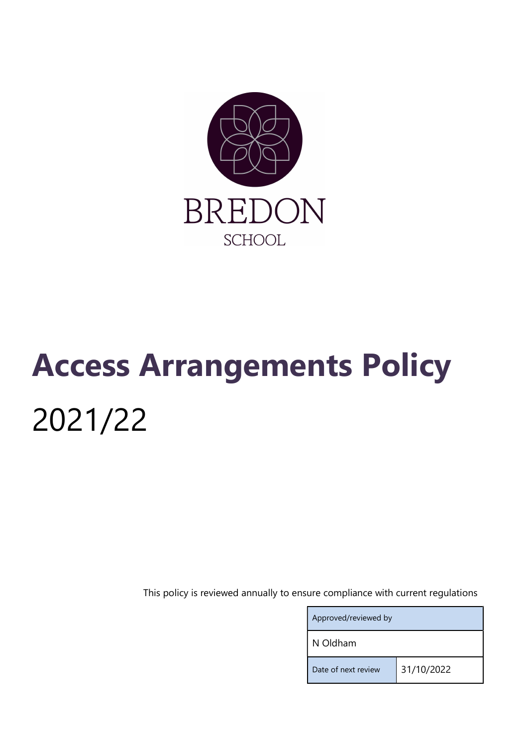

# Access Arrangements Policy 2021/22

This policy is reviewed annually to ensure compliance with current regulations

| Approved/reviewed by |            |
|----------------------|------------|
| N Oldham             |            |
| Date of next review  | 31/10/2022 |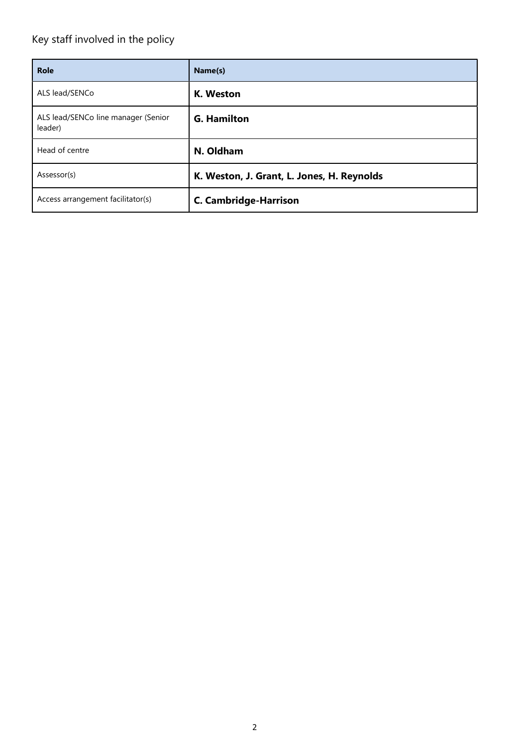# Key staff involved in the policy

| <b>Role</b>                                    | Name(s)                                    |
|------------------------------------------------|--------------------------------------------|
| ALS lead/SENCo                                 | K. Weston                                  |
| ALS lead/SENCo line manager (Senior<br>leader) | <b>G. Hamilton</b>                         |
| Head of centre                                 | N. Oldham                                  |
| Assessor(s)                                    | K. Weston, J. Grant, L. Jones, H. Reynolds |
| Access arrangement facilitator(s)              | <b>C. Cambridge-Harrison</b>               |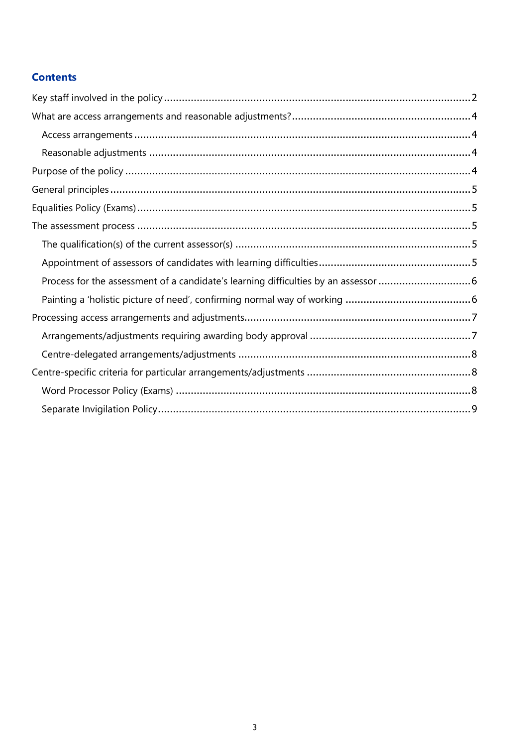# **Contents**

| Process for the assessment of a candidate's learning difficulties by an assessor 6 |
|------------------------------------------------------------------------------------|
|                                                                                    |
|                                                                                    |
|                                                                                    |
|                                                                                    |
|                                                                                    |
|                                                                                    |
|                                                                                    |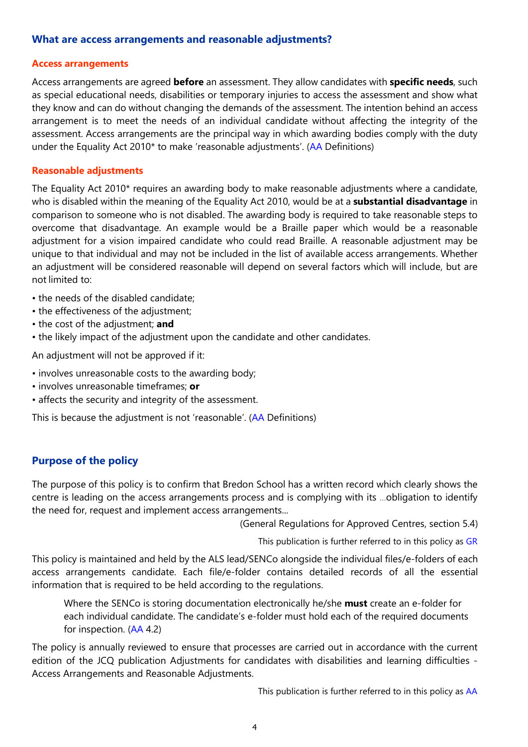#### What are access arrangements and reasonable adjustments?

#### Access arrangements

Access arrangements are agreed before an assessment. They allow candidates with specific needs, such as special educational needs, disabilities or temporary injuries to access the assessment and show what they know and can do without changing the demands of the assessment. The intention behind an access arrangement is to meet the needs of an individual candidate without affecting the integrity of the assessment. Access arrangements are the principal way in which awarding bodies comply with the duty under the Equality Act 2010\* to make 'reasonable adjustments'. (AA Definitions)

#### Reasonable adjustments

The Equality Act 2010\* requires an awarding body to make reasonable adjustments where a candidate, who is disabled within the meaning of the Equality Act 2010, would be at a **substantial disadvantage** in comparison to someone who is not disabled. The awarding body is required to take reasonable steps to overcome that disadvantage. An example would be a Braille paper which would be a reasonable adjustment for a vision impaired candidate who could read Braille. A reasonable adjustment may be unique to that individual and may not be included in the list of available access arrangements. Whether an adjustment will be considered reasonable will depend on several factors which will include, but are not limited to:

- the needs of the disabled candidate;
- the effectiveness of the adjustment:
- the cost of the adjustment; and
- the likely impact of the adjustment upon the candidate and other candidates.

An adjustment will not be approved if it:

- involves unreasonable costs to the awarding body;
- involves unreasonable timeframes; or
- affects the security and integrity of the assessment.

This is because the adjustment is not 'reasonable'. (AA Definitions)

# Purpose of the policy

The purpose of this policy is to confirm that Bredon School has a written record which clearly shows the centre is leading on the access arrangements process and is complying with its …obligation to identify the need for, request and implement access arrangements...

(General Regulations for Approved Centres, section 5.4)

This publication is further referred to in this policy as GR

This policy is maintained and held by the ALS lead/SENCo alongside the individual files/e-folders of each access arrangements candidate. Each file/e-folder contains detailed records of all the essential information that is required to be held according to the regulations.

Where the SENCo is storing documentation electronically he/she must create an e-folder for each individual candidate. The candidate's e-folder must hold each of the required documents for inspection. (AA 4.2)

The policy is annually reviewed to ensure that processes are carried out in accordance with the current edition of the JCQ publication Adjustments for candidates with disabilities and learning difficulties - Access Arrangements and Reasonable Adjustments.

This publication is further referred to in this policy as AA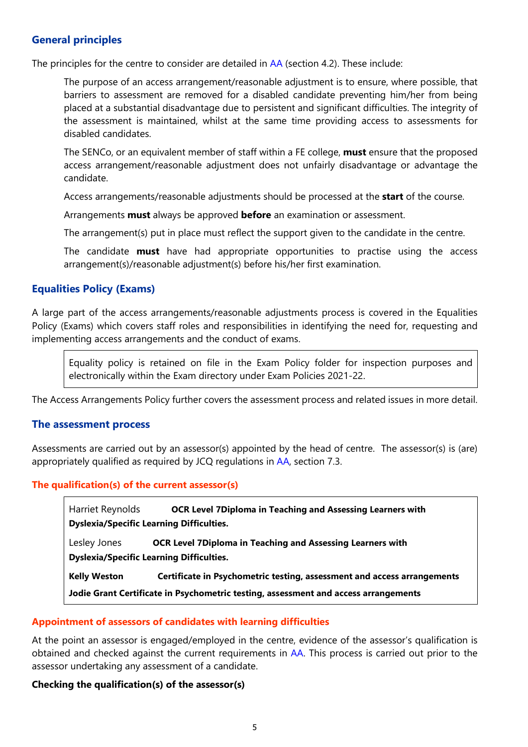# General principles

The principles for the centre to consider are detailed in AA (section 4.2). These include:

The purpose of an access arrangement/reasonable adjustment is to ensure, where possible, that barriers to assessment are removed for a disabled candidate preventing him/her from being placed at a substantial disadvantage due to persistent and significant difficulties. The integrity of the assessment is maintained, whilst at the same time providing access to assessments for disabled candidates.

The SENCo, or an equivalent member of staff within a FE college, **must** ensure that the proposed access arrangement/reasonable adjustment does not unfairly disadvantage or advantage the candidate.

Access arrangements/reasonable adjustments should be processed at the **start** of the course.

Arrangements **must** always be approved **before** an examination or assessment.

The arrangement(s) put in place must reflect the support given to the candidate in the centre.

The candidate **must** have had appropriate opportunities to practise using the access arrangement(s)/reasonable adjustment(s) before his/her first examination.

# Equalities Policy (Exams)

A large part of the access arrangements/reasonable adjustments process is covered in the Equalities Policy (Exams) which covers staff roles and responsibilities in identifying the need for, requesting and implementing access arrangements and the conduct of exams.

Equality policy is retained on file in the Exam Policy folder for inspection purposes and electronically within the Exam directory under Exam Policies 2021-22.

The Access Arrangements Policy further covers the assessment process and related issues in more detail.

#### The assessment process

Assessments are carried out by an assessor(s) appointed by the head of centre. The assessor(s) is (are) appropriately qualified as required by JCQ regulations in AA, section 7.3.

#### The qualification(s) of the current assessor(s)

Harriet Reynolds **OCR Level 7Diploma in Teaching and Assessing Learners with** Dyslexia/Specific Learning Difficulties.

Lesley Jones **OCR Level 7Diploma in Teaching and Assessing Learners with** Dyslexia/Specific Learning Difficulties.

Kelly Weston Certificate in Psychometric testing, assessment and access arrangements

Jodie Grant Certificate in Psychometric testing, assessment and access arrangements

#### Appointment of assessors of candidates with learning difficulties

At the point an assessor is engaged/employed in the centre, evidence of the assessor's qualification is obtained and checked against the current requirements in AA. This process is carried out prior to the assessor undertaking any assessment of a candidate.

#### Checking the qualification(s) of the assessor(s)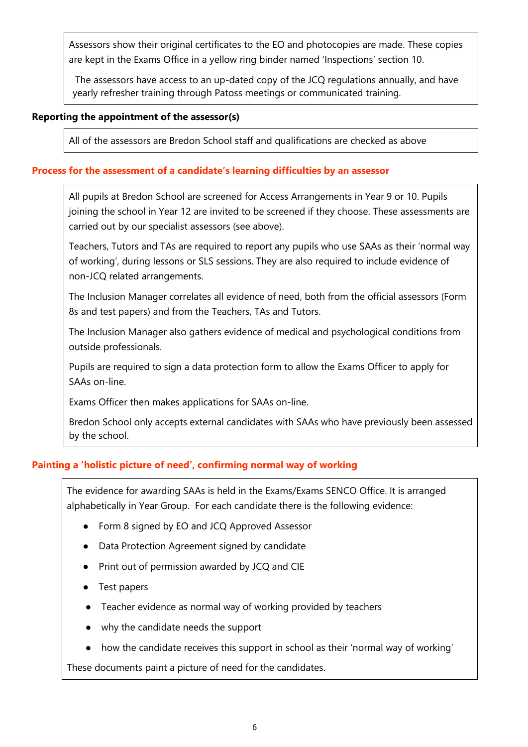Assessors show their original certificates to the EO and photocopies are made. These copies are kept in the Exams Office in a yellow ring binder named 'Inspections' section 10.

The assessors have access to an up-dated copy of the JCQ regulations annually, and have yearly refresher training through Patoss meetings or communicated training.

#### Reporting the appointment of the assessor(s)

All of the assessors are Bredon School staff and qualifications are checked as above

#### Process for the assessment of a candidate's learning difficulties by an assessor

All pupils at Bredon School are screened for Access Arrangements in Year 9 or 10. Pupils joining the school in Year 12 are invited to be screened if they choose. These assessments are carried out by our specialist assessors (see above).

Teachers, Tutors and TAs are required to report any pupils who use SAAs as their 'normal way of working', during lessons or SLS sessions. They are also required to include evidence of non-JCQ related arrangements.

The Inclusion Manager correlates all evidence of need, both from the official assessors (Form 8s and test papers) and from the Teachers, TAs and Tutors.

The Inclusion Manager also gathers evidence of medical and psychological conditions from outside professionals.

Pupils are required to sign a data protection form to allow the Exams Officer to apply for SAAs on-line.

Exams Officer then makes applications for SAAs on-line.

Bredon School only accepts external candidates with SAAs who have previously been assessed by the school.

# Painting a 'holistic picture of need', confirming normal way of working

The evidence for awarding SAAs is held in the Exams/Exams SENCO Office. It is arranged alphabetically in Year Group. For each candidate there is the following evidence:

- Form 8 signed by EO and JCQ Approved Assessor
- Data Protection Agreement signed by candidate
- Print out of permission awarded by JCQ and CIE
- Test papers
- Teacher evidence as normal way of working provided by teachers
- why the candidate needs the support
- how the candidate receives this support in school as their 'normal way of working'

These documents paint a picture of need for the candidates.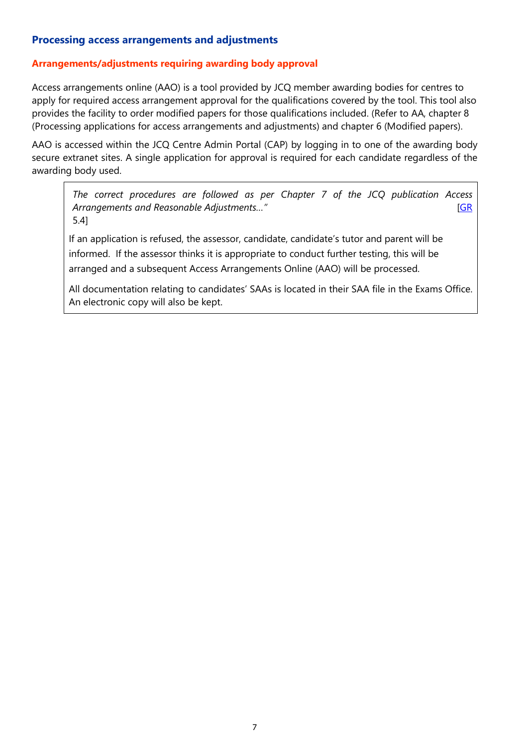# Processing access arrangements and adjustments

#### Arrangements/adjustments requiring awarding body approval

Access arrangements online (AAO) is a tool provided by JCQ member awarding bodies for centres to apply for required access arrangement approval for the qualifications covered by the tool. This tool also provides the facility to order modified papers for those qualifications included. (Refer to AA, chapter 8 (Processing applications for access arrangements and adjustments) and chapter 6 (Modified papers).

AAO is accessed within the JCQ Centre Admin Portal (CAP) by logging in to one of the awarding body secure extranet sites. A single application for approval is required for each candidate regardless of the awarding body used.

The correct procedures are followed as per Chapter 7 of the JCQ publication Access Arrangements and Reasonable Adjustments..." example to the state of the state of the state of the SNS and SNS and SNS are stated as  $[GR]$ 5.4]

If an application is refused, the assessor, candidate, candidate's tutor and parent will be informed. If the assessor thinks it is appropriate to conduct further testing, this will be arranged and a subsequent Access Arrangements Online (AAO) will be processed.

All documentation relating to candidates' SAAs is located in their SAA file in the Exams Office. An electronic copy will also be kept.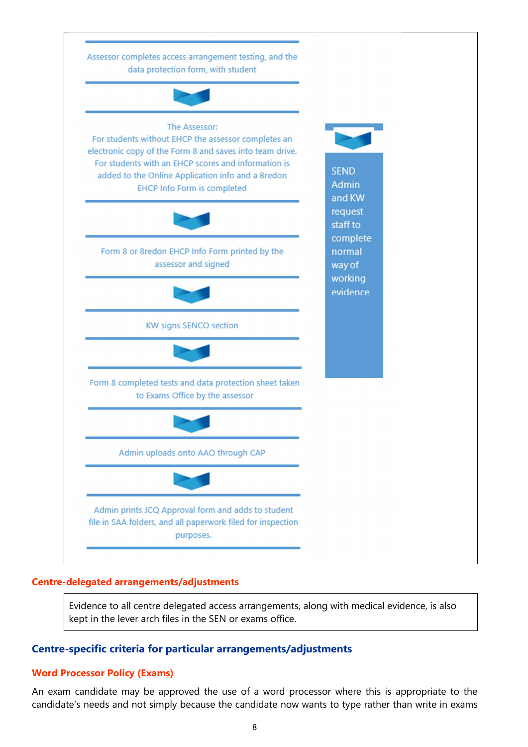

#### Centre-delegated arrangements/adjustments

Evidence to all centre delegated access arrangements, along with medical evidence, is also kept in the lever arch files in the SEN or exams office.

#### Centre-specific criteria for particular arrangements/adjustments

#### Word Processor Policy (Exams)

An exam candidate may be approved the use of a word processor where this is appropriate to the candidate's needs and not simply because the candidate now wants to type rather than write in exams